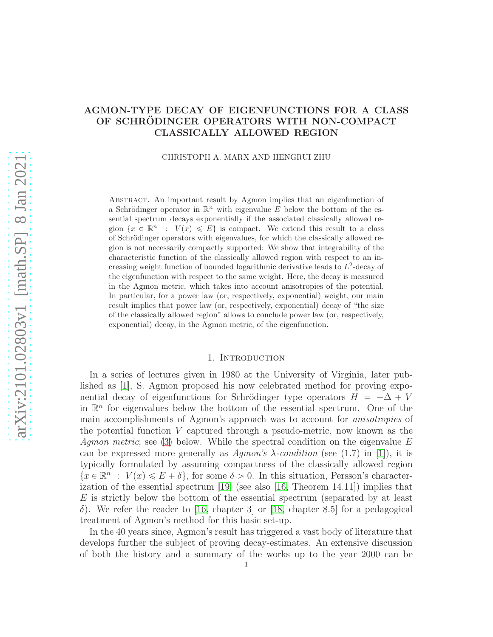# AGMON-TYPE DECAY OF EIGENFUNCTIONS FOR A CLASS OF SCHRODINGER OPERATORS WITH NON-COMPACT CLASSICALLY ALLOWED REGION

#### CHRISTOPH A. MARX AND HENGRUI ZHU

Abstract. An important result by Agmon implies that an eigenfunction of a Schrödinger operator in  $\mathbb{R}^n$  with eigenvalue E below the bottom of the essential spectrum decays exponentially if the associated classically allowed region  $\{x \in \mathbb{R}^n : V(x) \leqslant E\}$  is compact. We extend this result to a class of Schrödinger operators with eigenvalues, for which the classically allowed region is not necessarily compactly supported: We show that integrability of the characteristic function of the classically allowed region with respect to an increasing weight function of bounded logarithmic derivative leads to  $L^2$ -decay of the eigenfunction with respect to the same weight. Here, the decay is measured in the Agmon metric, which takes into account anisotropies of the potential. In particular, for a power law (or, respectively, exponential) weight, our main result implies that power law (or, respectively, exponential) decay of "the size of the classically allowed region" allows to conclude power law (or, respectively, exponential) decay, in the Agmon metric, of the eigenfunction.

### 1. INTRODUCTION

In a series of lectures given in 1980 at the University of Virginia, later published as [\[1\]](#page-16-0), S. Agmon proposed his now celebrated method for proving exponential decay of eigenfunctions for Schrödinger type operators  $H = -\Delta + V$ in  $\mathbb{R}^n$  for eigenvalues below the bottom of the essential spectrum. One of the main accomplishments of Agmon's approach was to account for anisotropies of the potential function V captured through a pseudo-metric, now known as the Agmon metric; see [\(3\)](#page-2-0) below. While the spectral condition on the eigenvalue  $E$ can be expressed more generally as  $Aqmon's \lambda$ -condition (see (1.7) in [\[1\]](#page-16-0)), it is typically formulated by assuming compactness of the classically allowed region  $\{x \in \mathbb{R}^n : V(x) \leqslant E + \delta\}$ , for some  $\delta > 0$ . In this situation, Persson's character-ization of the essential spectrum [\[19\]](#page-17-0) (see also [\[16,](#page-17-1) Theorem 14.11]) implies that E is strictly below the bottom of the essential spectrum (separated by at least δ). We refer the reader to [\[16,](#page-17-1) chapter 3] or [\[18,](#page-17-2) chapter 8.5] for a pedagogical treatment of Agmon's method for this basic set-up.

In the 40 years since, Agmon's result has triggered a vast body of literature that develops further the subject of proving decay-estimates. An extensive discussion of both the history and a summary of the works up to the year 2000 can be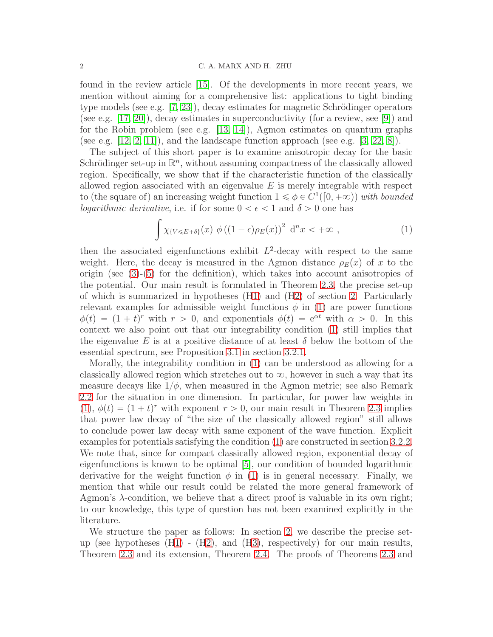#### 2 C. A. MARX AND H. ZHU

found in the review article [\[15\]](#page-17-3). Of the developments in more recent years, we mention without aiming for a comprehensive list: applications to tight binding type models (see e.g.  $[7, 23]$  $[7, 23]$ ), decay estimates for magnetic Schrödinger operators (see e.g. [\[17,](#page-17-6) [20\]](#page-17-7)), decay estimates in superconductivity (for a review, see [\[9\]](#page-17-8)) and for the Robin problem (see e.g.  $[13, 14]$  $[13, 14]$ ), Agmon estimates on quantum graphs (see e.g.  $[12, 2, 11]$  $[12, 2, 11]$  $[12, 2, 11]$ ), and the landscape function approach (see e.g.  $[3, 22, 8]$  $[3, 22, 8]$  $[3, 22, 8]$ ).

The subject of this short paper is to examine anisotropic decay for the basic Schrödinger set-up in  $\mathbb{R}^n$ , without assuming compactness of the classically allowed region. Specifically, we show that if the characteristic function of the classically allowed region associated with an eigenvalue  $E$  is merely integrable with respect to (the square of) an increasing weight function  $1 \leq \phi \in C^1([0, +\infty))$  with bounded *logarithmic derivative*, i.e. if for some  $0 < \epsilon < 1$  and  $\delta > 0$  one has

<span id="page-1-0"></span>
$$
\int \chi_{\{V \le E + \delta\}}(x) \phi((1 - \epsilon)\rho_E(x))^2 d^n x < +\infty ,
$$
\n(1)

then the associated eigenfunctions exhibit  $L^2$ -decay with respect to the same weight. Here, the decay is measured in the Agmon distance  $\rho_E(x)$  of x to the origin (see [\(3\)](#page-2-0)-[\(5\)](#page-3-0) for the definition), which takes into account anisotropies of the potential. Our main result is formulated in Theorem [2.3,](#page-4-0) the precise set-up of which is summarized in hypotheses (H1) and ([H2\)](#page-3-1) of section [2.](#page-2-1) Particularly relevant examples for admissible weight functions  $\phi$  in [\(1\)](#page-1-0) are power functions  $\phi(t) = (1 + t)^r$  with  $r > 0$ , and exponentials  $\phi(t) = e^{\alpha t}$  with  $\alpha > 0$ . In this context we also point out that our integrability condition [\(1\)](#page-1-0) still implies that the eigenvalue E is at a positive distance of at least  $\delta$  below the bottom of the essential spectrum, see Proposition [3.1](#page-11-0) in section [3.2.1.](#page-11-1)

Morally, the integrability condition in [\(1\)](#page-1-0) can be understood as allowing for a classically allowed region which stretches out to  $\infty$ , however in such a way that its measure decays like  $1/\phi$ , when measured in the Agmon metric; see also Remark [2.2](#page-4-1) for the situation in one dimension. In particular, for power law weights in [\(1\)](#page-1-0),  $\phi(t) = (1 + t)^r$  with exponent  $r > 0$ , our main result in Theorem [2.3](#page-4-0) implies that power law decay of "the size of the classically allowed region" still allows to conclude power law decay with same exponent of the wave function. Explicit examples for potentials satisfying the condition [\(1\)](#page-1-0) are constructed in section [3.2.2.](#page-12-0) We note that, since for compact classically allowed region, exponential decay of eigenfunctions is known to be optimal [\[5\]](#page-16-3), our condition of bounded logarithmic derivative for the weight function  $\phi$  in [\(1\)](#page-1-0) is in general necessary. Finally, we mention that while our result could be related the more general framework of Agmon's λ-condition, we believe that a direct proof is valuable in its own right; to our knowledge, this type of question has not been examined explicitly in the literature.

We structure the paper as follows: In section [2,](#page-2-1) we describe the precise setup (see hypotheses (H1) - ([H2\)](#page-3-1), and (H3), respectively) for our main results, Theorem [2.3](#page-4-0) and its extension, Theorem [2.4.](#page-5-0) The proofs of Theorems [2.3](#page-4-0) and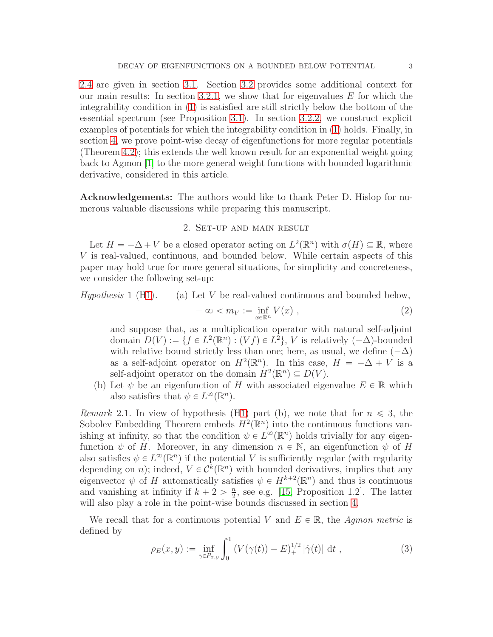[2.4](#page-5-0) are given in section [3.1.](#page-5-1) Section [3.2](#page-11-2) provides some additional context for our main results: In section [3.2.1,](#page-11-1) we show that for eigenvalues  $E$  for which the integrability condition in [\(1\)](#page-1-0) is satisfied are still strictly below the bottom of the essential spectrum (see Proposition [3.1\)](#page-11-0). In section [3.2.2,](#page-12-0) we construct explicit examples of potentials for which the integrability condition in [\(1\)](#page-1-0) holds. Finally, in section [4,](#page-15-0) we prove point-wise decay of eigenfunctions for more regular potentials (Theorem [4.2\)](#page-15-1); this extends the well known result for an exponential weight going back to Agmon [\[1\]](#page-16-0) to the more general weight functions with bounded logarithmic derivative, considered in this article.

<span id="page-2-1"></span>Acknowledgements: The authors would like to thank Peter D. Hislop for numerous valuable discussions while preparing this manuscript.

## 2. Set-up and main result

Let  $H = -\Delta + V$  be a closed operator acting on  $L^2(\mathbb{R}^n)$  with  $\sigma(H) \subseteq \mathbb{R}$ , where V is real-valued, continuous, and bounded below. While certain aspects of this paper may hold true for more general situations, for simplicity and concreteness, we consider the following set-up:

Hypothesis 1 (H1). (a) Let V be real-valued continuous and bounded below,

$$
-\infty < m_V := \inf_{x \in \mathbb{R}^n} V(x) , \qquad (2)
$$

and suppose that, as a multiplication operator with natural self-adjoint domain  $D(V) := \{ f \in L^2(\mathbb{R}^n) : (Vf) \in L^2 \}, V$  is relatively  $(-\Delta)$ -bounded with relative bound strictly less than one; here, as usual, we define  $(-\Delta)$ as a self-adjoint operator on  $H^2(\mathbb{R}^n)$ . In this case,  $H = -\Delta + V$  is a self-adjoint operator on the domain  $H^2(\mathbb{R}^n) \subseteq D(V)$ .

(b) Let  $\psi$  be an eigenfunction of H with associated eigenvalue  $E \in \mathbb{R}$  which also satisfies that  $\psi \in L^{\infty}(\mathbb{R}^n)$ .

<span id="page-2-2"></span>*Remark* 2.1. In view of hypothesis (H1) part (b), we note that for  $n \leq 3$ , the Sobolev Embedding Theorem embeds  $H^2(\mathbb{R}^n)$  into the continuous functions vanishing at infinity, so that the condition  $\psi \in L^{\infty}(\mathbb{R}^n)$  holds trivially for any eigenfunction  $\psi$  of H. Moreover, in any dimension  $n \in \mathbb{N}$ , an eigenfunction  $\psi$  of H also satisfies  $\psi \in L^{\infty}(\mathbb{R}^n)$  if the potential V is sufficiently regular (with regularity depending on *n*); indeed,  $V \in C^k(\mathbb{R}^n)$  with bounded derivatives, implies that any eigenvector  $\psi$  of H automatically satisfies  $\psi \in H^{k+2}(\mathbb{R}^n)$  and thus is continuous and vanishing at infinity if  $k + 2 > \frac{n}{2}$  $\frac{n}{2}$ , see e.g. [\[15,](#page-17-3) Proposition 1.2]. The latter will also play a role in the point-wise bounds discussed in section [4.](#page-15-0)

We recall that for a continuous potential V and  $E \in \mathbb{R}$ , the Agmon metric is defined by

<span id="page-2-0"></span>
$$
\rho_E(x, y) := \inf_{\gamma \in P_{x, y}} \int_0^1 \left( V(\gamma(t)) - E \right)_+^{1/2} |\dot{\gamma}(t)| \, \mathrm{d}t \;, \tag{3}
$$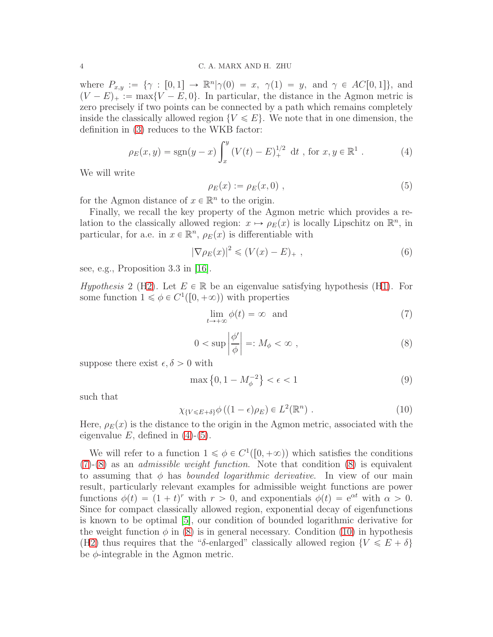where  $P_{x,y} := \{ \gamma : [0,1] \to \mathbb{R}^n | \gamma(0) = x, \gamma(1) = y, \text{ and } \gamma \in AC[0,1] \},\$  and  $(V - E)_+ := \max\{V - E, 0\}.$  In particular, the distance in the Agmon metric is zero precisely if two points can be connected by a path which remains completely inside the classically allowed region  $\{V \leq E\}$ . We note that in one dimension, the definition in [\(3\)](#page-2-0) reduces to the WKB factor:

<span id="page-3-2"></span>
$$
\rho_E(x, y) = \text{sgn}(y - x) \int_x^y \left( V(t) - E \right)_+^{1/2} \, \mathrm{d}t \, , \text{ for } x, y \in \mathbb{R}^1 \, . \tag{4}
$$

We will write

<span id="page-3-0"></span>
$$
\rho_E(x) := \rho_E(x, 0) \tag{5}
$$

for the Agmon distance of  $x \in \mathbb{R}^n$  to the origin.

Finally, we recall the key property of the Agmon metric which provides a relation to the classically allowed region:  $x \mapsto \rho_E(x)$  is locally Lipschitz on  $\mathbb{R}^n$ , in particular, for a.e. in  $x \in \mathbb{R}^n$ ,  $\rho_E(x)$  is differentiable with

<span id="page-3-7"></span>
$$
|\nabla \rho_E(x)|^2 \le (V(x) - E)_+ , \qquad (6)
$$

see, e.g., Proposition 3.3 in [\[16\]](#page-17-1).

<span id="page-3-1"></span>*Hypothesis* 2 ([H2\)](#page-3-1). Let  $E \in \mathbb{R}$  be an eigenvalue satisfying hypothesis (H1). For some function  $1 \le \phi \in C^1([0, +\infty))$  with properties

<span id="page-3-3"></span>
$$
\lim_{t \to +\infty} \phi(t) = \infty \quad \text{and} \tag{7}
$$

<span id="page-3-4"></span>
$$
0 < \sup \left| \frac{\phi'}{\phi} \right| =: M_{\phi} < \infty \;, \tag{8}
$$

suppose there exist  $\epsilon, \delta > 0$  with

<span id="page-3-6"></span>
$$
\max\left\{0, 1 - M_{\phi}^{-2}\right\} < \epsilon < 1\tag{9}
$$

such that

<span id="page-3-5"></span>
$$
\chi_{\{V \le E + \delta\}} \phi \left( (1 - \epsilon) \rho_E \right) \in L^2(\mathbb{R}^n) \ . \tag{10}
$$

Here,  $\rho_E(x)$  is the distance to the origin in the Agmon metric, associated with the eigenvalue  $E$ , defined in  $(4)-(5)$  $(4)-(5)$ .

We will refer to a function  $1 \leq \phi \in C^1([0, +\infty))$  which satisfies the conditions  $(7)-(8)$  $(7)-(8)$  $(7)-(8)$  as an *admissible weight function*. Note that condition  $(8)$  is equivalent to assuming that  $\phi$  has *bounded logarithmic derivative*. In view of our main result, particularly relevant examples for admissible weight functions are power functions  $\phi(t) = (1 + t)^r$  with  $r > 0$ , and exponentials  $\phi(t) = e^{\alpha t}$  with  $\alpha > 0$ . Since for compact classically allowed region, exponential decay of eigenfunctions is known to be optimal [\[5\]](#page-16-3), our condition of bounded logarithmic derivative for the weight function  $\phi$  in [\(8\)](#page-3-4) is in general necessary. Condition [\(10\)](#page-3-5) in hypothesis ([H2\)](#page-3-1) thus requires that the "δ-enlarged" classically allowed region  $\{V \leqslant E + \delta\}$ be  $\phi$ -integrable in the Agmon metric.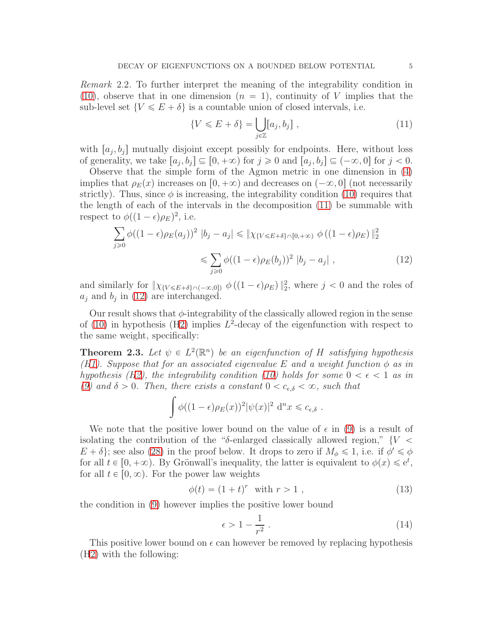<span id="page-4-1"></span>Remark 2.2. To further interpret the meaning of the integrability condition in [\(10\)](#page-3-5), observe that in one dimension  $(n = 1)$ , continuity of V implies that the sub-level set  $\{V \leqslant E + \delta\}$  is a countable union of closed intervals, i.e.

<span id="page-4-3"></span><span id="page-4-2"></span>
$$
\{V \leqslant E + \delta\} = \bigcup_{j \in \mathbb{Z}} [a_j, b_j] \tag{11}
$$

with  $[a_j, b_j]$  mutually disjoint except possibly for endpoints. Here, without loss of generality, we take  $[a_j, b_j] \subseteq [0, +\infty)$  for  $j \ge 0$  and  $[a_j, b_j] \subseteq (-\infty, 0]$  for  $j < 0$ .

Observe that the simple form of the Agmon metric in one dimension in [\(4\)](#page-3-2) implies that  $\rho_E(x)$  increases on  $[0, +\infty)$  and decreases on  $(-\infty, 0]$  (not necessarily strictly). Thus, since  $\phi$  is increasing, the integrability condition [\(10\)](#page-3-5) requires that the length of each of the intervals in the decomposition [\(11\)](#page-4-2) be summable with respect to  $\phi((1 - \epsilon)\rho_E)^2$ , i.e.

$$
\sum_{j\geq 0} \phi((1-\epsilon)\rho_E(a_j))^2 |b_j - a_j| \leq \|\chi_{\{V \leq E + \delta\} \cap [0, +\infty)} \phi((1-\epsilon)\rho_E)\|_2^2
$$
  

$$
\leq \sum_{j\geq 0} \phi((1-\epsilon)\rho_E(b_j))^2 |b_j - a_j| , \qquad (12)
$$

and similarly for  $\|\chi_{\{V \leq E+\delta\} \cap (-\infty,0])} \phi\left((1-\epsilon)\rho_E\right)\|_2^2$ , where  $j < 0$  and the roles of  $a_j$  and  $b_j$  in [\(12\)](#page-4-3) are interchanged.

Our result shows that  $\phi$ -integrability of the classically allowed region in the sense of  $(10)$  in hypothesis  $(H2)$  $(H2)$  implies  $L^2$ -decay of the eigenfunction with respect to the same weight, specifically:

<span id="page-4-0"></span>**Theorem 2.3.** Let  $\psi \in L^2(\mathbb{R}^n)$  be an eigenfunction of H satisfying hypothesis (H1). Suppose that for an associated eigenvalue E and a weight function  $\phi$  as in hypothesis ([H2\)](#page-3-1), the integrability condition [\(10\)](#page-3-5) holds for some  $0 < \epsilon < 1$  as in [\(9\)](#page-3-6) and  $\delta > 0$ . Then, there exists a constant  $0 < c_{\epsilon,\delta} < \infty$ , such that

$$
\int \phi((1-\epsilon)\rho_E(x))^2 |\psi(x)|^2 d^n x \leq c_{\epsilon,\delta}.
$$

We note that the positive lower bound on the value of  $\epsilon$  in [\(9\)](#page-3-6) is a result of isolating the contribution of the "δ-enlarged classically allowed region,"  $\{V \leq$  $E + \delta$ ; see also [\(28\)](#page-7-0) in the proof below. It drops to zero if  $M_{\phi} \leq 1$ , i.e. if  $\phi' \leq \phi$ for all  $t \in [0, +\infty)$ . By Grönwall's inequality, the latter is equivalent to  $\phi(x) \leq e^t$ , for all  $t \in [0, \infty)$ . For the power law weights

<span id="page-4-4"></span>
$$
\phi(t) = (1+t)^r \text{ with } r > 1 , \qquad (13)
$$

the condition in [\(9\)](#page-3-6) however implies the positive lower bound

$$
\epsilon > 1 - \frac{1}{r^2} \tag{14}
$$

This positive lower bound on  $\epsilon$  can however be removed by replacing hypothesis ([H2\)](#page-3-1) with the following: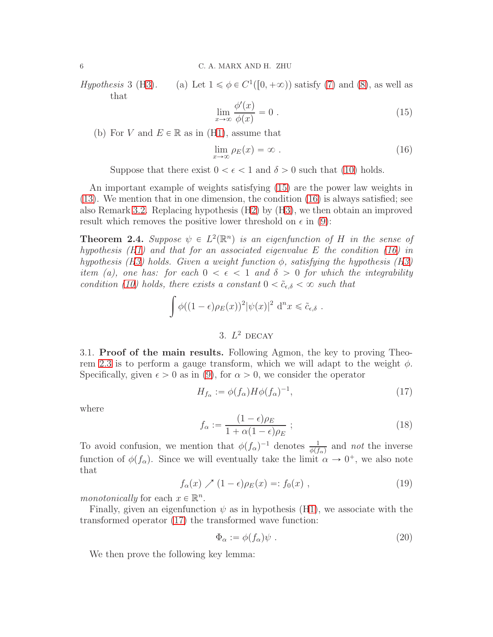$Hypothesis$  3 (H3).  $\binom{1}{0}$ ,  $+\infty$ ) satisfy [\(7\)](#page-3-3) and [\(8\)](#page-3-4), as well as that

<span id="page-5-2"></span>
$$
\lim_{x \to \infty} \frac{\phi'(x)}{\phi(x)} = 0.
$$
\n(15)

(b) For V and  $E \in \mathbb{R}$  as in (H1), assume that

<span id="page-5-3"></span>
$$
\lim_{x \to \infty} \rho_E(x) = \infty \tag{16}
$$

Suppose that there exist  $0 < \epsilon < 1$  and  $\delta > 0$  such that [\(10\)](#page-3-5) holds.

An important example of weights satisfying [\(15\)](#page-5-2) are the power law weights in [\(13\)](#page-4-4). We mention that in one dimension, the condition [\(16\)](#page-5-3) is always satisfied; see also Remark [3.2.](#page-8-0) Replacing hypothesis ([H2\)](#page-3-1) by (H3), we then obtain an improved result which removes the positive lower threshold on  $\epsilon$  in [\(9\)](#page-3-6):

<span id="page-5-0"></span>**Theorem 2.4.** Suppose  $\psi \in L^2(\mathbb{R}^n)$  is an eigenfunction of H in the sense of hypothesis  $(H1)$  and that for an associated eigenvalue E the condition [\(16\)](#page-5-3) in hypothesis (H3) holds. Given a weight function  $\phi$ , satisfying the hypothesis (H3) item (a), one has: for each  $0 < \epsilon < 1$  and  $\delta > 0$  for which the integrability condition [\(10\)](#page-3-5) holds, there exists a constant  $0 < \tilde{c}_{\epsilon,\delta} < \infty$  such that

$$
\int \phi((1-\epsilon)\rho_E(x))^2 |\psi(x)|^2 d^n x \leq \tilde{c}_{\epsilon,\delta}.
$$

# 3.  $L^2$  DECAY

<span id="page-5-1"></span>3.1. Proof of the main results. Following Agmon, the key to proving Theo-rem [2.3](#page-4-0) is to perform a gauge transform, which we will adapt to the weight  $\phi$ . Specifically, given  $\epsilon > 0$  as in [\(9\)](#page-3-6), for  $\alpha > 0$ , we consider the operator

<span id="page-5-4"></span>
$$
H_{f_{\alpha}} := \phi(f_{\alpha}) H \phi(f_{\alpha})^{-1},\tag{17}
$$

where

$$
f_{\alpha} := \frac{(1 - \epsilon)\rho_E}{1 + \alpha(1 - \epsilon)\rho_E} ;
$$
\n(18)

To avoid confusion, we mention that  $\phi(f_\alpha)^{-1}$  denotes  $\frac{1}{\phi(f_\alpha)}$  and not the inverse function of  $\phi(f_\alpha)$ . Since we will eventually take the limit  $\alpha \to 0^+$ , we also note that

$$
f_{\alpha}(x) \nearrow (1 - \epsilon)\rho_E(x) =: f_0(x) , \qquad (19)
$$

monotonically for each  $x \in \mathbb{R}^n$ .

Finally, given an eigenfunction  $\psi$  as in hypothesis (H1), we associate with the transformed operator [\(17\)](#page-5-4) the transformed wave function:

$$
\Phi_{\alpha} := \phi(f_{\alpha})\psi \tag{20}
$$

We then prove the following key lemma: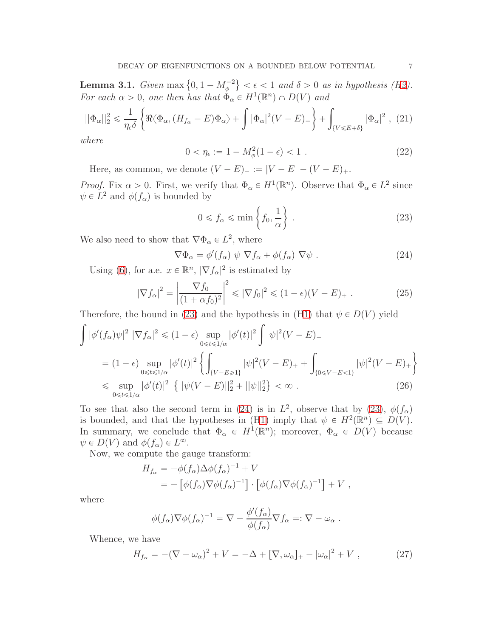<span id="page-6-5"></span>**Lemma 3.1.** Given max  $\{0, 1 - M_{\phi}^{-2}\} < \epsilon < 1$  and  $\delta > 0$  as in hypothesis ([H2\)](#page-3-1). For each  $\alpha > 0$ , one then has that  $\Phi_{\alpha} \in H^1(\mathbb{R}^n) \cap D(V)$  and

<span id="page-6-4"></span>
$$
||\Phi_{\alpha}||_{2}^{2} \leq \frac{1}{\eta_{\epsilon}\delta} \left\{ \Re \langle \Phi_{\alpha}, (H_{f_{\alpha}} - E)\Phi_{\alpha} \rangle + \int |\Phi_{\alpha}|^{2} (V - E)_{-} \right\} + \int_{\{V \leqslant E + \delta\}} |\Phi_{\alpha}|^{2} , (21)
$$

where

$$
0 < \eta_{\epsilon} := 1 - M_{\phi}^2 (1 - \epsilon) < 1 \tag{22}
$$

Here, as common, we denote  $(V - E)_{-} := |V - E| - (V - E)_{+}$ .

*Proof.* Fix  $\alpha > 0$ . First, we verify that  $\Phi_{\alpha} \in H^1(\mathbb{R}^n)$ . Observe that  $\Phi_{\alpha} \in L^2$  since  $\psi \in L^2$  and  $\phi(f_\alpha)$  is bounded by

<span id="page-6-0"></span>
$$
0 \le f_{\alpha} \le \min\left\{f_0, \frac{1}{\alpha}\right\} \,. \tag{23}
$$

We also need to show that  $\nabla \Phi_{\alpha} \in L^2$ , where

<span id="page-6-1"></span>
$$
\nabla \Phi_{\alpha} = \phi'(f_{\alpha}) \psi \nabla f_{\alpha} + \phi(f_{\alpha}) \nabla \psi .
$$
\n(24)

Using [\(6\)](#page-3-7), for a.e.  $x \in \mathbb{R}^n$ ,  $|\nabla f_{\alpha}|^2$  is estimated by

<span id="page-6-3"></span>
$$
|\nabla f_{\alpha}|^2 = \left|\frac{\nabla f_0}{(1 + \alpha f_0)^2}\right|^2 \le |\nabla f_0|^2 \le (1 - \epsilon)(V - E)_+ . \tag{25}
$$

Therefore, the bound in [\(23\)](#page-6-0) and the hypothesis in (H1) that  $\psi \in D(V)$  yield

$$
\int |\phi'(f_{\alpha})\psi|^{2} |\nabla f_{\alpha}|^{2} \leq (1 - \epsilon) \sup_{0 \leq t \leq 1/\alpha} |\phi'(t)|^{2} \int |\psi|^{2} (V - E)_{+}
$$
\n
$$
= (1 - \epsilon) \sup_{0 \leq t \leq 1/\alpha} |\phi'(t)|^{2} \left\{ \int_{\{V - E \geq 1\}} |\psi|^{2} (V - E)_{+} + \int_{\{0 \leq V - E < 1\}} |\psi|^{2} (V - E)_{+} \right\}
$$
\n
$$
\leq \sup_{0 \leq t \leq 1/\alpha} |\phi'(t)|^{2} \left\{ ||\psi(V - E)||_{2}^{2} + ||\psi||_{2}^{2} \right\} < \infty . \tag{26}
$$

To see that also the second term in [\(24\)](#page-6-1) is in  $L^2$ , observe that by [\(23\)](#page-6-0),  $\phi(f_\alpha)$ is bounded, and that the hypotheses in (H1) imply that  $\psi \in H^2(\mathbb{R}^n) \subseteq D(V)$ . In summary, we conclude that  $\Phi_{\alpha} \in H^1(\mathbb{R}^n)$ ; moreover,  $\Phi_{\alpha} \in D(V)$  because  $\psi \in D(V)$  and  $\phi(f_\alpha) \in L^\infty$ .

Now, we compute the gauge transform:

$$
H_{f_{\alpha}} = -\phi(f_{\alpha})\Delta\phi(f_{\alpha})^{-1} + V
$$
  
= -[\phi(f\_{\alpha})\nabla\phi(f\_{\alpha})^{-1}] \cdot [\phi(f\_{\alpha})\nabla\phi(f\_{\alpha})^{-1}] + V ,

where

$$
\phi(f_{\alpha})\nabla\phi(f_{\alpha})^{-1} = \nabla - \frac{\phi'(f_{\alpha})}{\phi(f_{\alpha})}\nabla f_{\alpha} =: \nabla - \omega_{\alpha} .
$$

Whence, we have

<span id="page-6-2"></span>
$$
H_{f_{\alpha}} = -(\nabla - \omega_{\alpha})^2 + V = -\Delta + [\nabla, \omega_{\alpha}]_+ - |\omega_{\alpha}|^2 + V , \qquad (27)
$$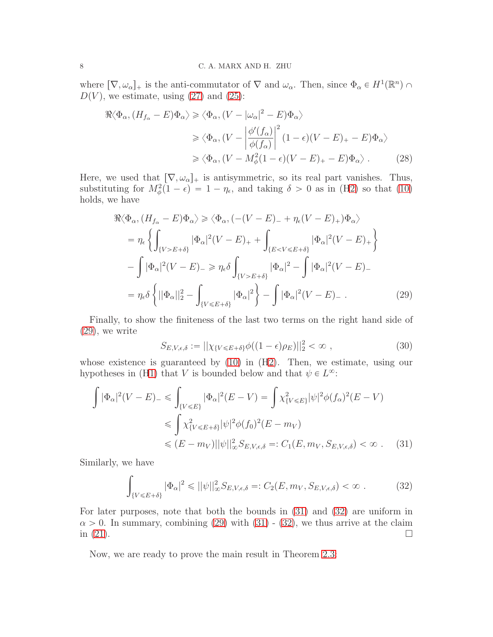where  $[\nabla, \omega_{\alpha}]_+$  is the anti-commutator of  $\nabla$  and  $\omega_{\alpha}$ . Then, since  $\Phi_{\alpha} \in H^1(\mathbb{R}^n) \cap$  $D(V)$ , we estimate, using [\(27\)](#page-6-2) and [\(25\)](#page-6-3):

$$
\Re \langle \Phi_{\alpha}, (H_{f_{\alpha}} - E) \Phi_{\alpha} \rangle \ge \langle \Phi_{\alpha}, (V - |\omega_{\alpha}|^{2} - E) \Phi_{\alpha} \rangle
$$
  
\n
$$
\ge \langle \Phi_{\alpha}, (V - \left| \frac{\phi'(f_{\alpha})}{\phi(f_{\alpha})} \right|^{2} (1 - \epsilon)(V - E)_{+} - E) \Phi_{\alpha} \rangle
$$
  
\n
$$
\ge \langle \Phi_{\alpha}, (V - M_{\phi}^{2}(1 - \epsilon)(V - E)_{+} - E) \Phi_{\alpha} \rangle. \tag{28}
$$

Here, we used that  $[\nabla, \omega_{\alpha}]_+$  is antisymmetric, so its real part vanishes. Thus, substituting for  $M_{\phi}^2(1 - \epsilon) = 1 - \eta_{\epsilon}$ , and taking  $\delta > 0$  as in ([H2\)](#page-3-1) so that [\(10\)](#page-3-5) holds, we have

<span id="page-7-0"></span>
$$
\Re \langle \Phi_{\alpha}, (H_{f_{\alpha}} - E) \Phi_{\alpha} \rangle \ge \langle \Phi_{\alpha}, (-(V - E)_{-} + \eta_{\epsilon}(V - E)_{+}) \Phi_{\alpha} \rangle
$$
  
\n
$$
= \eta_{\epsilon} \left\{ \int_{\{V > E + \delta\}} |\Phi_{\alpha}|^{2} (V - E)_{+} + \int_{\{E < V \le E + \delta\}} |\Phi_{\alpha}|^{2} (V - E)_{+} \right\}
$$
  
\n
$$
- \int |\Phi_{\alpha}|^{2} (V - E)_{-} \ge \eta_{\epsilon} \delta \int_{\{V > E + \delta\}} |\Phi_{\alpha}|^{2} - \int |\Phi_{\alpha}|^{2} (V - E)_{-}
$$
  
\n
$$
= \eta_{\epsilon} \delta \left\{ ||\Phi_{\alpha}||_{2}^{2} - \int_{\{V \le E + \delta\}} |\Phi_{\alpha}|^{2} \right\} - \int |\Phi_{\alpha}|^{2} (V - E)_{-} . \tag{29}
$$

Finally, to show the finiteness of the last two terms on the right hand side of [\(29\)](#page-7-1), we write

<span id="page-7-2"></span><span id="page-7-1"></span>
$$
S_{E,V,\epsilon,\delta} := ||\chi_{\{V \le E+\delta\}}\phi((1-\epsilon)\rho_E)||_2^2 < \infty , \qquad (30)
$$

whose existence is guaranteed by  $(10)$  in  $(H2)$  $(H2)$ . Then, we estimate, using our hypotheses in (H1) that V is bounded below and that  $\psi \in L^{\infty}$ :

$$
\int |\Phi_{\alpha}|^2 (V - E)_{-} \leq \int_{\{V \leq E\}} |\Phi_{\alpha}|^2 (E - V) = \int \chi_{\{V \leq E\}}^2 |\psi|^2 \phi(f_{\alpha})^2 (E - V)
$$
  
\n
$$
\leq \int \chi_{\{V \leq E + \delta\}}^2 |\psi|^2 \phi(f_0)^2 (E - m_V)
$$
  
\n
$$
\leq (E - m_V) ||\psi||_{\infty}^2 S_{E, V, \epsilon, \delta} =: C_1(E, m_V, S_{E, V, \epsilon, \delta}) < \infty .
$$
 (31)

Similarly, we have

<span id="page-7-3"></span>
$$
\int_{\{V \le E + \delta\}} |\Phi_{\alpha}|^2 \le ||\psi||_{\infty}^2 S_{E, V, \epsilon, \delta} =: C_2(E, m_V, S_{E, V, \epsilon, \delta}) < \infty.
$$
 (32)

For later purposes, note that both the bounds in [\(31\)](#page-7-2) and [\(32\)](#page-7-3) are uniform in  $\alpha > 0$ . In summary, combining [\(29\)](#page-7-1) with [\(31\)](#page-7-2) - [\(32\)](#page-7-3), we thus arrive at the claim in (21). in  $(21)$ .

Now, we are ready to prove the main result in Theorem [2.3:](#page-4-0)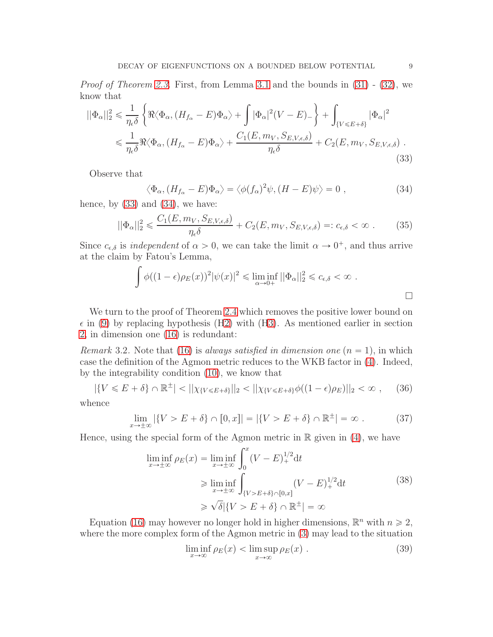*Proof of Theorem [2.3.](#page-4-0)* First, from Lemma [3.1](#page-6-5) and the bounds in  $(31)$  -  $(32)$ , we know that

$$
||\Phi_{\alpha}||_{2}^{2} \leq \frac{1}{\eta_{\epsilon}\delta} \left\{ \Re \langle \Phi_{\alpha}, (H_{f_{\alpha}} - E)\Phi_{\alpha} \rangle + \int |\Phi_{\alpha}|^{2} (V - E)_{-} \right\} + \int_{\{V \leq E + \delta\}} |\Phi_{\alpha}|^{2} \leq \frac{1}{\eta_{\epsilon}\delta} \Re \langle \Phi_{\alpha}, (H_{f_{\alpha}} - E)\Phi_{\alpha} \rangle + \frac{C_{1}(E, m_{V}, S_{E, V, \epsilon, \delta})}{\eta_{\epsilon}\delta} + C_{2}(E, m_{V}, S_{E, V, \epsilon, \delta}) . \tag{33}
$$

Observe that

<span id="page-8-2"></span><span id="page-8-1"></span>
$$
\langle \Phi_{\alpha}, (H_{f_{\alpha}} - E) \Phi_{\alpha} \rangle = \langle \phi(f_{\alpha})^2 \psi, (H - E) \psi \rangle = 0 , \qquad (34)
$$

hence, by  $(33)$  and  $(34)$ , we have:

$$
||\Phi_{\alpha}||_2^2 \leqslant \frac{C_1(E, m_V, S_{E, V, \epsilon, \delta})}{\eta_{\epsilon}\delta} + C_2(E, m_V, S_{E, V, \epsilon, \delta}) =: c_{\epsilon, \delta} < \infty \tag{35}
$$

Since  $c_{\epsilon,\delta}$  is *independent* of  $\alpha > 0$ , we can take the limit  $\alpha \to 0^+$ , and thus arrive at the claim by Fatou's Lemma,

$$
\int \phi((1-\epsilon)\rho_E(x))^2 |\psi(x)|^2 \leq \liminf_{\alpha \to 0+} ||\Phi_\alpha||_2^2 \leq c_{\epsilon,\delta} < \infty.
$$

We turn to the proof of Theorem [2.4](#page-5-0) which removes the positive lower bound on  $\epsilon$  in [\(9\)](#page-3-6) by replacing hypothesis ([H2\)](#page-3-1) with (H3). As mentioned earlier in section [2,](#page-2-1) in dimension one [\(16\)](#page-5-3) is redundant:

<span id="page-8-0"></span>Remark 3.2. Note that [\(16\)](#page-5-3) is always satisfied in dimension one  $(n = 1)$ , in which case the definition of the Agmon metric reduces to the WKB factor in [\(4\)](#page-3-2). Indeed, by the integrability condition [\(10\)](#page-3-5), we know that

$$
|\{V \leqslant E + \delta\} \cap \mathbb{R}^{\pm}| < ||\chi_{\{V \leqslant E + \delta\}}||_2 < ||\chi_{\{V \leqslant E + \delta\}}\phi((1 - \epsilon)\rho_E)||_2 < \infty , \quad (36)
$$

whence

$$
\lim_{x \to \pm \infty} |\{V > E + \delta\} \cap [0, x]| = |\{V > E + \delta\} \cap \mathbb{R}^{\pm}| = \infty \tag{37}
$$

Hence, using the special form of the Agmon metric in  $\mathbb R$  given in [\(4\)](#page-3-2), we have

$$
\liminf_{x \to \pm \infty} \rho_E(x) = \liminf_{x \to \pm \infty} \int_0^x (V - E)_+^{1/2} dt
$$
\n
$$
\geq \liminf_{x \to \pm \infty} \int_{\{V > E + \delta\} \cap [0, x]} (V - E)_+^{1/2} dt
$$
\n
$$
\geq \sqrt{\delta} |\{V > E + \delta\} \cap \mathbb{R}^{\pm}| = \infty
$$
\n(38)

Equation [\(16\)](#page-5-3) may however no longer hold in higher dimensions,  $\mathbb{R}^n$  with  $n \geq 2$ , where the more complex form of the Agmon metric in [\(3\)](#page-2-0) may lead to the situation

$$
\liminf_{x \to \infty} \rho_E(x) < \limsup_{x \to \infty} \rho_E(x) \tag{39}
$$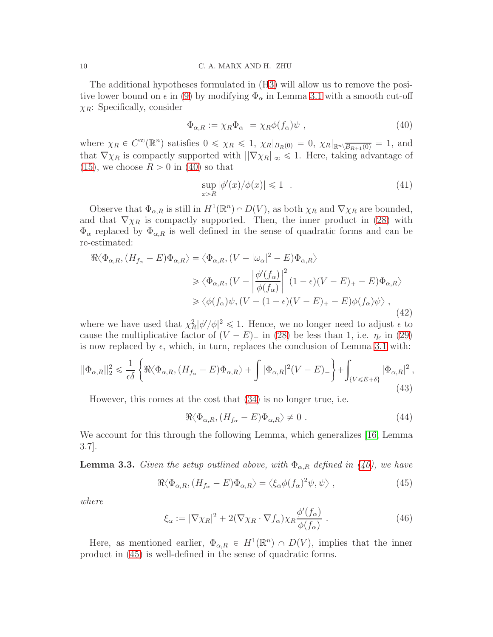The additional hypotheses formulated in (H3) will allow us to remove the positive lower bound on  $\epsilon$  in [\(9\)](#page-3-6) by modifying  $\Phi_{\alpha}$  in Lemma [3.1](#page-6-5) with a smooth cut-off  $\chi_R$ : Specifically, consider

<span id="page-9-0"></span>
$$
\Phi_{\alpha,R} := \chi_R \Phi_\alpha = \chi_R \phi(f_\alpha) \psi \;, \tag{40}
$$

where  $\chi_R \in C^{\infty}(\mathbb{R}^n)$  satisfies  $0 \leq \chi_R \leq 1$ ,  $\chi_R|_{B_R(0)} = 0$ ,  $\chi_R|_{\mathbb{R}^n \setminus \overline{B_{R+1}(0)}} = 1$ , and that  $\nabla \chi_R$  is compactly supported with  $||\nabla \chi_R||_{\infty} \leq 1$ . Here, taking advantage of [\(15\)](#page-5-2), we choose  $R > 0$  in [\(40\)](#page-9-0) so that

<span id="page-9-4"></span>
$$
\sup_{x>R} |\phi'(x)/\phi(x)| \leq 1 . \tag{41}
$$

Observe that  $\Phi_{\alpha,R}$  is still in  $H^1(\mathbb{R}^n) \cap D(V)$ , as both  $\chi_R$  and  $\nabla \chi_R$  are bounded, and that  $\nabla \chi_R$  is compactly supported. Then, the inner product in [\(28\)](#page-7-0) with  $\Phi_{\alpha}$  replaced by  $\Phi_{\alpha,R}$  is well defined in the sense of quadratic forms and can be re-estimated:

$$
\Re \langle \Phi_{\alpha,R}, (H_{f_{\alpha}} - E) \Phi_{\alpha,R} \rangle = \langle \Phi_{\alpha,R}, (V - |\omega_{\alpha}|^2 - E) \Phi_{\alpha,R} \rangle
$$
  
\n
$$
\geq \langle \Phi_{\alpha,R}, (V - \left| \frac{\phi'(f_{\alpha})}{\phi(f_{\alpha})} \right|^2 (1 - \epsilon)(V - E)_{+} - E) \Phi_{\alpha,R} \rangle
$$
  
\n
$$
\geq \langle \phi(f_{\alpha}) \psi, (V - (1 - \epsilon)(V - E)_{+} - E) \phi(f_{\alpha}) \psi \rangle ,
$$
  
\n(42)

where we have used that  $\chi^2_R |\phi'/\phi|^2 \leq 1$ . Hence, we no longer need to adjust  $\epsilon$  to cause the multiplicative factor of  $(V - E)_{+}$  in [\(28\)](#page-7-0) be less than 1, i.e.  $\eta_{\epsilon}$  in [\(29\)](#page-7-1) is now replaced by  $\epsilon$ , which, in turn, replaces the conclusion of Lemma [3.1](#page-6-5) with:

<span id="page-9-3"></span>
$$
||\Phi_{\alpha,R}||_2^2 \leq \frac{1}{\epsilon \delta} \left\{ \Re \langle \Phi_{\alpha,R}, (H_{f_\alpha} - E)\Phi_{\alpha,R} \rangle + \int |\Phi_{\alpha,R}|^2 (V - E)_- \right\} + \int_{\{V \leqslant E + \delta\}} |\Phi_{\alpha,R}|^2 ,\tag{43}
$$

However, this comes at the cost that [\(34\)](#page-8-2) is no longer true, i.e.

$$
\Re \langle \Phi_{\alpha,R}, (H_{f_\alpha} - E) \Phi_{\alpha,R} \rangle \neq 0 \tag{44}
$$

We account for this through the following Lemma, which generalizes [\[16,](#page-17-1) Lemma 3.7].

<span id="page-9-2"></span>**Lemma 3.3.** Given the setup outlined above, with  $\Phi_{\alpha,R}$  defined in [\(40\)](#page-9-0), we have

<span id="page-9-1"></span>
$$
\Re \langle \Phi_{\alpha,R}, (H_{f_{\alpha}} - E) \Phi_{\alpha,R} \rangle = \langle \xi_{\alpha} \phi(f_{\alpha})^2 \psi, \psi \rangle , \qquad (45)
$$

where

$$
\xi_{\alpha} := |\nabla \chi_R|^2 + 2(\nabla \chi_R \cdot \nabla f_{\alpha}) \chi_R \frac{\phi'(f_{\alpha})}{\phi(f_{\alpha})} . \tag{46}
$$

Here, as mentioned earlier,  $\Phi_{\alpha,R} \in H^1(\mathbb{R}^n) \cap D(V)$ , implies that the inner product in [\(45\)](#page-9-1) is well-defined in the sense of quadratic forms.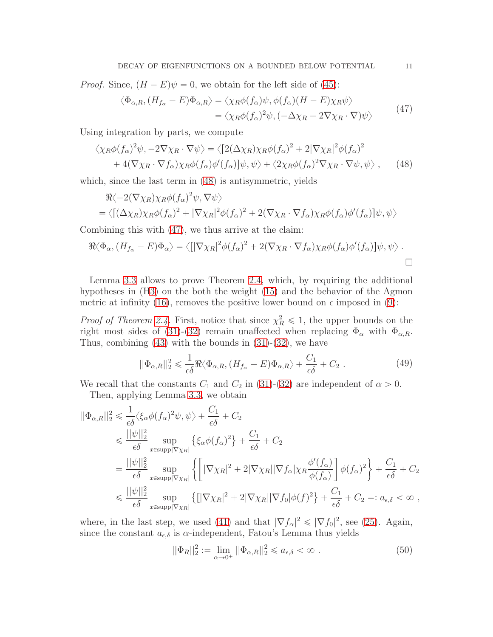*Proof.* Since,  $(H - E)\psi = 0$ , we obtain for the left side of [\(45\)](#page-9-1):

<span id="page-10-1"></span>
$$
\langle \Phi_{\alpha,R}, (H_{f_{\alpha}} - E) \Phi_{\alpha,R} \rangle = \langle \chi_R \phi(f_{\alpha}) \psi, \phi(f_{\alpha}) (H - E) \chi_R \psi \rangle
$$
  
=  $\langle \chi_R \phi(f_{\alpha})^2 \psi, (-\Delta \chi_R - 2\nabla \chi_R \cdot \nabla) \psi \rangle$  (47)

Using integration by parts, we compute

$$
\langle \chi_R \phi (f_\alpha)^2 \psi, -2\nabla \chi_R \cdot \nabla \psi \rangle = \langle [2(\Delta \chi_R) \chi_R \phi (f_\alpha)^2 + 2 | \nabla \chi_R|^2 \phi (f_\alpha)^2 + 4(\nabla \chi_R \cdot \nabla f_\alpha) \chi_R \phi (f_\alpha) \phi'(f_\alpha)] \psi, \psi \rangle + \langle 2 \chi_R \phi (f_\alpha)^2 \nabla \chi_R \cdot \nabla \psi, \psi \rangle , \qquad (48)
$$

which, since the last term in [\(48\)](#page-10-0) is antisymmetric, yields

$$
\Re \langle -2(\nabla \chi_R) \chi_R \phi(f_\alpha)^2 \psi, \nabla \psi \rangle
$$
  
=  $\langle [(\Delta \chi_R) \chi_R \phi(f_\alpha)^2 + |\nabla \chi_R|^2 \phi(f_\alpha)^2 + 2(\nabla \chi_R \cdot \nabla f_\alpha) \chi_R \phi(f_\alpha) \phi'(f_\alpha)] \psi, \psi \rangle$ 

Combining this with [\(47\)](#page-10-1), we thus arrive at the claim:

$$
\Re \langle \Phi_{\alpha}, (H_{f_{\alpha}} - E) \Phi_{\alpha} \rangle = \langle [|\nabla \chi_R|^2 \phi(f_{\alpha})^2 + 2(\nabla \chi_R \cdot \nabla f_{\alpha}) \chi_R \phi(f_{\alpha}) \phi'(f_{\alpha})] \psi, \psi \rangle .
$$

Lemma [3.3](#page-9-2) allows to prove Theorem [2.4,](#page-5-0) which, by requiring the additional hypotheses in (H3) on the both the weight [\(15\)](#page-5-2) and the behavior of the Agmon metric at infinity [\(16\)](#page-5-3), removes the positive lower bound on  $\epsilon$  imposed in [\(9\)](#page-3-6):

*Proof of Theorem [2.4.](#page-5-0)* First, notice that since  $\chi^2_R \leq 1$ , the upper bounds on the right most sides of [\(31\)](#page-7-2)-[\(32\)](#page-7-3) remain unaffected when replacing  $\Phi_{\alpha}$  with  $\Phi_{\alpha,R}$ . Thus, combining  $(43)$  with the bounds in  $(31)-(32)$  $(31)-(32)$ , we have

$$
||\Phi_{\alpha,R}||_2^2 \leq \frac{1}{\epsilon \delta} \Re \langle \Phi_{\alpha,R}, (H_{f_\alpha} - E) \Phi_{\alpha,R} \rangle + \frac{C_1}{\epsilon \delta} + C_2.
$$
 (49)

We recall that the constants  $C_1$  and  $C_2$  in [\(31\)](#page-7-2)-[\(32\)](#page-7-3) are independent of  $\alpha > 0$ . Then, applying Lemma [3.3,](#page-9-2) we obtain

$$
\begin{split}\n||\Phi_{\alpha,R}||_{2}^{2} &\leq \frac{1}{\epsilon\delta}\langle\xi_{\alpha}\phi(f_{\alpha})^{2}\psi,\psi\rangle + \frac{C_{1}}{\epsilon\delta} + C_{2} \\
&\leq \frac{||\psi||_{2}^{2}}{\epsilon\delta}\sup_{x\in\text{supp}|\nabla\chi_{R}|}\left\{\xi_{\alpha}\phi(f_{\alpha})^{2}\right\} + \frac{C_{1}}{\epsilon\delta} + C_{2} \\
&= \frac{||\psi||_{2}^{2}}{\epsilon\delta}\sup_{x\in\text{supp}|\nabla\chi_{R}|}\left\{\left[|\nabla\chi_{R}|^{2} + 2|\nabla\chi_{R}||\nabla f_{\alpha}|\chi_{R}\frac{\phi'(f_{\alpha})}{\phi(f_{\alpha})}\right]\phi(f_{\alpha})^{2}\right\} + \frac{C_{1}}{\epsilon\delta} + C_{2} \\
&\leq \frac{||\psi||_{2}^{2}}{\epsilon\delta}\sup_{x\in\text{supp}|\nabla\chi_{R}|}\left\{\left[|\nabla\chi_{R}|^{2} + 2|\nabla\chi_{R}||\nabla f_{0}|\phi(f)^{2}\right\} + \frac{C_{1}}{\epsilon\delta} + C_{2} =: a_{\epsilon,\delta} < \infty\right.\n\end{split}
$$

where, in the last step, we used [\(41\)](#page-9-4) and that  $|\nabla f_{\alpha}|^2 \leq |\nabla f_0|^2$ , see [\(25\)](#page-6-3). Again, since the constant  $a_{\epsilon,\delta}$  is  $\alpha$ -independent, Fatou's Lemma thus yields

<span id="page-10-2"></span>
$$
||\Phi_R||_2^2 := \lim_{\alpha \to 0^+} ||\Phi_{\alpha,R}||_2^2 \leq a_{\epsilon,\delta} < \infty .
$$
 (50)

<span id="page-10-0"></span>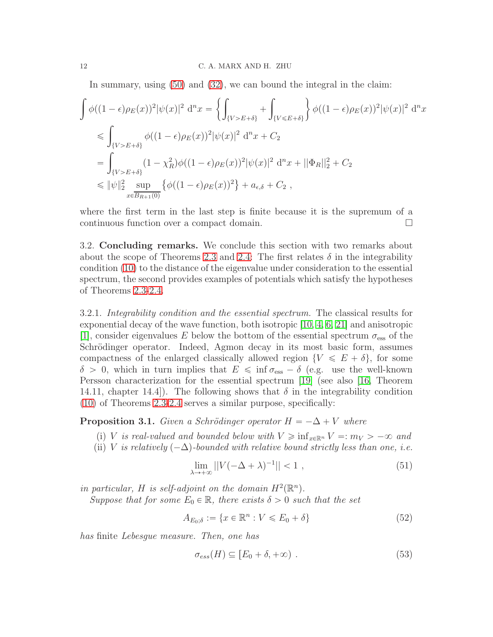In summary, using [\(50\)](#page-10-2) and [\(32\)](#page-7-3), we can bound the integral in the claim:

$$
\int \phi((1-\epsilon)\rho_E(x))^2 |\psi(x)|^2 d^n x = \left\{ \int_{\{V>E+\delta\}} + \int_{\{V\leq E+\delta\}} \right\} \phi((1-\epsilon)\rho_E(x))^2 |\psi(x)|^2 d^n x
$$
  
\n
$$
\leq \int_{\{V>E+\delta\}} \phi((1-\epsilon)\rho_E(x))^2 |\psi(x)|^2 d^n x + C_2
$$
  
\n
$$
= \int_{\{V>E+\delta\}} (1-\chi_R^2)\phi((1-\epsilon)\rho_E(x))^2 |\psi(x)|^2 d^n x + ||\Phi_R||_2^2 + C_2
$$
  
\n
$$
\leq ||\psi||_2^2 \sup_{x \in \overline{B_{R+1}(0)}} \left\{ \phi((1-\epsilon)\rho_E(x))^2 \right\} + a_{\epsilon,\delta} + C_2 ,
$$

where the first term in the last step is finite because it is the supremum of a continuous function over a compact domain.

<span id="page-11-2"></span>3.2. Concluding remarks. We conclude this section with two remarks about about the scope of Theorems [2.3](#page-4-0) and [2.4:](#page-5-0) The first relates  $\delta$  in the integrability condition [\(10\)](#page-3-5) to the distance of the eigenvalue under consideration to the essential spectrum, the second provides examples of potentials which satisfy the hypotheses of Theorems [2.3-](#page-4-0)[2.4.](#page-5-0)

<span id="page-11-1"></span>3.2.1. Integrability condition and the essential spectrum. The classical results for exponential decay of the wave function, both isotropic [\[10,](#page-17-15) [4,](#page-16-4) [6,](#page-17-16) [21\]](#page-17-17) and anisotropic [\[1\]](#page-16-0), consider eigenvalues E below the bottom of the essential spectrum  $\sigma_{\text{ess}}$  of the Schrödinger operator. Indeed, Agmon decay in its most basic form, assumes compactness of the enlarged classically allowed region  $\{V \leqslant E + \delta\}$ , for some  $\delta > 0$ , which in turn implies that  $E \le \inf \sigma_{\rm ess} - \delta$  (e.g. use the well-known Persson characterization for the essential spectrum [\[19\]](#page-17-0) (see also [\[16,](#page-17-1) Theorem 14.11, chapter 14.4.). The following shows that  $\delta$  in the integrability condition [\(10\)](#page-3-5) of Theorems [2.3](#page-4-0)[-2.4](#page-5-0) serves a similar purpose, specifically:

<span id="page-11-0"></span>**Proposition 3.1.** Given a Schrödinger operator  $H = -\Delta + V$  where

- (i) V is real-valued and bounded below with  $V \geq \inf_{x \in \mathbb{R}^n} V =: m_V > -\infty$  and
- (ii) V is relatively  $(-\Delta)$ -bounded with relative bound strictly less than one, i.e.

<span id="page-11-4"></span>
$$
\lim_{\lambda \to +\infty} ||V(-\Delta + \lambda)^{-1}|| < 1 \tag{51}
$$

in particular, H is self-adjoint on the domain  $H^2(\mathbb{R}^n)$ .

Suppose that for some  $E_0 \in \mathbb{R}$ , there exists  $\delta > 0$  such that the set

<span id="page-11-3"></span>
$$
A_{E_0; \delta} := \{ x \in \mathbb{R}^n : V \leqslant E_0 + \delta \}
$$
\n<sup>(52)</sup>

has finite Lebesgue measure. Then, one has

$$
\sigma_{ess}(H) \subseteq [E_0 + \delta, +\infty) \ . \tag{53}
$$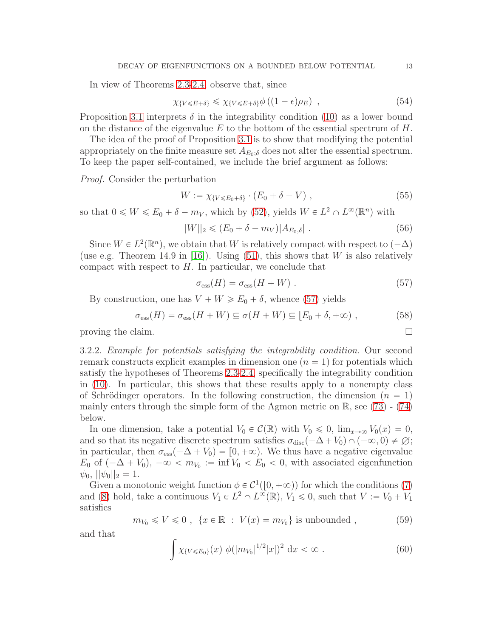In view of Theorems [2.3](#page-4-0)[-2.4,](#page-5-0) observe that, since

$$
\chi_{\{V \le E + \delta\}} \le \chi_{\{V \le E + \delta\}} \phi \left( (1 - \epsilon) \rho_E \right) , \qquad (54)
$$

Proposition [3.1](#page-11-0) interprets  $\delta$  in the integrability condition [\(10\)](#page-3-5) as a lower bound on the distance of the eigenvalue  $E$  to the bottom of the essential spectrum of  $H$ .

The idea of the proof of Proposition [3.1](#page-11-0) is to show that modifying the potential appropriately on the finite measure set  $A_{E_0: \delta}$  does not alter the essential spectrum. To keep the paper self-contained, we include the brief argument as follows:

Proof. Consider the perturbation

$$
W := \chi_{\{V \le E_0 + \delta\}} \cdot (E_0 + \delta - V) \tag{55}
$$

so that  $0 \leq W \leq E_0 + \delta - m_V$ , which by [\(52\)](#page-11-3), yields  $W \in L^2 \cap L^{\infty}(\mathbb{R}^n)$  with

$$
||W||_2 \le (E_0 + \delta - m_V)|A_{E_0, \delta}|.
$$
\n(56)

Since  $W \in L^2(\mathbb{R}^n)$ , we obtain that W is relatively compact with respect to  $(-\Delta)$ (use e.g. Theorem 14.9 in [\[16\]](#page-17-1)). Using  $(51)$ , this shows that W is also relatively compact with respect to  $H$ . In particular, we conclude that

<span id="page-12-1"></span>
$$
\sigma_{\rm ess}(H) = \sigma_{\rm ess}(H + W) \tag{57}
$$

By construction, one has  $V + W \ge E_0 + \delta$ , whence [\(57\)](#page-12-1) yields

$$
\sigma_{\rm ess}(H) = \sigma_{\rm ess}(H + W) \subseteq \sigma(H + W) \subseteq [E_0 + \delta, +\infty), \tag{58}
$$

<span id="page-12-0"></span>proving the claim.  $\Box$ 

3.2.2. Example for potentials satisfying the integrability condition. Our second remark constructs explicit examples in dimension one  $(n = 1)$  for potentials which satisfy the hypotheses of Theorems [2.3-](#page-4-0)[2.4,](#page-5-0) specifically the integrability condition in [\(10\)](#page-3-5). In particular, this shows that these results apply to a nonempty class of Schrödinger operators. In the following construction, the dimension  $(n = 1)$ mainly enters through the simple form of the Agmon metric on  $\mathbb{R}$ , see [\(73\)](#page-14-0) - [\(74\)](#page-14-1) below.

In one dimension, take a potential  $V_0 \in \mathcal{C}(\mathbb{R})$  with  $V_0 \leq 0$ ,  $\lim_{x\to\infty} V_0(x) = 0$ , and so that its negative discrete spectrum satisfies  $\sigma_{disc}(-\Delta + V_0) \cap (-\infty, 0) \neq \emptyset$ ; in particular, then  $\sigma_{\rm ess}(-\Delta + V_0) = [0, +\infty)$ . We thus have a negative eigenvalue  $E_0$  of  $(-\Delta + V_0)$ ,  $-\infty < m_{V_0} := \inf V_0 < E_0 < 0$ , with associated eigenfunction  $|\psi_0| \cdot |\psi_0| |_2 = 1.$ 

Given a monotonic weight function  $\phi \in C^1([0, +\infty))$  for which the conditions [\(7\)](#page-3-3) and [\(8\)](#page-3-4) hold, take a continuous  $V_1 \in L^2 \cap L^{\infty}(\mathbb{R}), V_1 \leq 0$ , such that  $V := V_0 + V_1$ satisfies

<span id="page-12-3"></span>
$$
m_{V_0} \le V \le 0 , \quad \{x \in \mathbb{R} : V(x) = m_{V_0}\} \text{ is unbounded } , \tag{59}
$$

and that

<span id="page-12-2"></span>
$$
\int \chi_{\{V \le E_0\}}(x) \phi(|m_{V_0}|^{1/2}|x|)^2 dx < \infty . \tag{60}
$$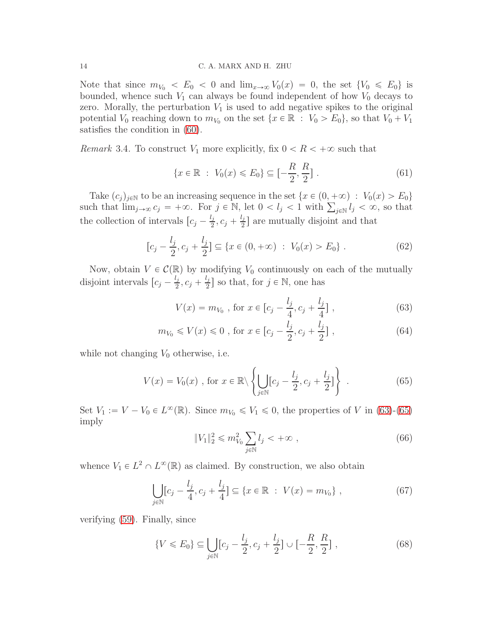Note that since  $m_{V_0} < E_0 < 0$  and  $\lim_{x\to\infty} V_0(x) = 0$ , the set  $\{V_0 \leq E_0\}$  is bounded, whence such  $V_1$  can always be found independent of how  $V_0$  decays to zero. Morally, the perturbation  $V_1$  is used to add negative spikes to the original potential  $V_0$  reaching down to  $m_{V_0}$  on the set  $\{x \in \mathbb{R} : V_0 > E_0\}$ , so that  $V_0 + V_1$ satisfies the condition in [\(60\)](#page-12-2).

*Remark* 3.4. To construct  $V_1$  more explicitly, fix  $0 < R < +\infty$  such that

$$
\{x \in \mathbb{R} : V_0(x) \le E_0\} \subseteq \left[-\frac{R}{2}, \frac{R}{2}\right].\tag{61}
$$

Take  $(c_j)_{j\in\mathbb{N}}$  to be an increasing sequence in the set  $\{x \in (0, +\infty) : V_0(x) > E_0\}$ such that  $\lim_{j\to\infty} c_j = +\infty$ . For  $j \in \mathbb{N}$ , let  $0 < l_j < 1$  with  $\sum_{j\in\mathbb{N}} l_j < \infty$ , so that the collection of intervals  $\left[c_j - \frac{l_j}{2}\right]$  $\frac{l_j}{2}$ ,  $c_j + \frac{l_j}{2}$  $\frac{2}{2}$  are mutually disjoint and that

$$
[c_j - \frac{l_j}{2}, c_j + \frac{l_j}{2}] \subseteq \{x \in (0, +\infty) : V_0(x) > E_0\}.
$$
 (62)

Now, obtain  $V \in \mathcal{C}(\mathbb{R})$  by modifying  $V_0$  continuously on each of the mutually disjoint intervals  $\left[c_j - \frac{l_j}{2}\right]$  $\frac{l_j}{2}$ ,  $c_j + \frac{l_j}{2}$  $\left[\frac{l_j}{2}\right]$  so that, for  $j \in \mathbb{N}$ , one has

<span id="page-13-0"></span>
$$
V(x) = m_{V_0}, \text{ for } x \in [c_j - \frac{l_j}{4}, c_j + \frac{l_j}{4}],
$$
\n(63)

$$
m_{V_0} \le V(x) \le 0
$$
, for  $x \in [c_j - \frac{l_j}{2}, c_j + \frac{l_j}{2}]$ , (64)

while not changing  $V_0$  otherwise, i.e.

<span id="page-13-1"></span>
$$
V(x) = V_0(x) \text{ , for } x \in \mathbb{R} \setminus \left\{ \bigcup_{j \in \mathbb{N}} [c_j - \frac{l_j}{2}, c_j + \frac{l_j}{2}] \right\} \text{ .}
$$
 (65)

Set  $V_1 := V - V_0 \in L^{\infty}(\mathbb{R})$ . Since  $m_{V_0} \leq V_1 \leq 0$ , the properties of V in [\(63\)](#page-13-0)-[\(65\)](#page-13-1) imply

$$
||V_1||_2^2 \le m_{V_0}^2 \sum_{j \in \mathbb{N}} l_j < +\infty , \qquad (66)
$$

whence  $V_1 \in L^2 \cap L^{\infty}(\mathbb{R})$  as claimed. By construction, we also obtain

$$
\bigcup_{j \in \mathbb{N}} [c_j - \frac{l_j}{4}, c_j + \frac{l_j}{4}] \subseteq \{x \in \mathbb{R} : V(x) = m_{V_0}\},\tag{67}
$$

verifying [\(59\)](#page-12-3). Finally, since

$$
\{V \le E_0\} \subseteq \bigcup_{j \in \mathbb{N}} [c_j - \frac{l_j}{2}, c_j + \frac{l_j}{2}] \cup [-\frac{R}{2}, \frac{R}{2}], \qquad (68)
$$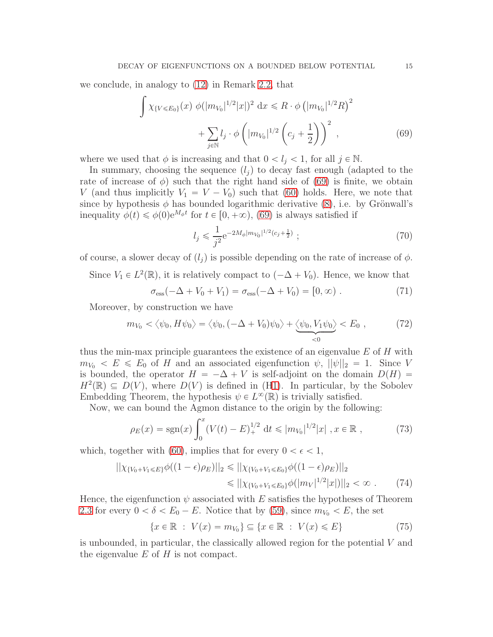we conclude, in analogy to [\(12\)](#page-4-3) in Remark [2.2,](#page-4-1) that

$$
\int \chi_{\{V \le E_0\}}(x) \phi(|m_{V_0}|^{1/2}|x|)^2 dx \le R \cdot \phi\left(|m_{V_0}|^{1/2}R\right)^2 + \sum_{j \in \mathbb{N}} l_j \cdot \phi\left(|m_{V_0}|^{1/2}\left(c_j + \frac{1}{2}\right)\right)^2 ,\tag{69}
$$

where we used that  $\phi$  is increasing and that  $0 < l_j < 1$ , for all  $j \in \mathbb{N}$ .

In summary, choosing the sequence  $(l_i)$  to decay fast enough (adapted to the rate of increase of  $\phi$ ) such that the right hand side of [\(69\)](#page-14-2) is finite, we obtain V (and thus implicitly  $V_1 = V - V_0$ ) such that [\(60\)](#page-12-2) holds. Here, we note that since by hypothesis  $\phi$  has bounded logarithmic derivative [\(8\)](#page-3-4), i.e. by Grönwall's inequality  $\phi(t) \leq \phi(0)e^{M_{\phi}t}$  for  $t \in [0, +\infty)$ , [\(69\)](#page-14-2) is always satisfied if

<span id="page-14-2"></span>
$$
l_j \leqslant \frac{1}{j^2} e^{-2M_{\phi}|m_{V_0}|^{1/2} (c_j + \frac{1}{2})} \tag{70}
$$

of course, a slower decay of  $(l_i)$  is possible depending on the rate of increase of  $\phi$ .

Since  $V_1 \in L^2(\mathbb{R})$ , it is relatively compact to  $(-\Delta + V_0)$ . Hence, we know that

$$
\sigma_{\rm ess}(-\Delta + V_0 + V_1) = \sigma_{\rm ess}(-\Delta + V_0) = [0, \infty) . \tag{71}
$$

Moreover, by construction we have

$$
m_{V_0} \langle \psi_0, H\psi_0 \rangle = \langle \psi_0, (-\Delta + V_0)\psi_0 \rangle + \underbrace{\langle \psi_0, V_1\psi_0 \rangle}_{\leq 0} \langle E_0, \rangle \tag{72}
$$

thus the min-max principle guarantees the existence of an eigenvalue  $E$  of  $H$  with  $m_{V_0} < E \leq E_0$  of H and an associated eigenfunction  $\psi$ ,  $||\psi||_2 = 1$ . Since V is bounded, the operator  $H = -\Delta + V$  is self-adjoint on the domain  $D(H)$  =  $H^2(\mathbb{R}) \subseteq D(V)$ , where  $D(V)$  is defined in (H1). In particular, by the Sobolev Embedding Theorem, the hypothesis  $\psi \in L^{\infty}(\mathbb{R})$  is trivially satisfied.

Now, we can bound the Agmon distance to the origin by the following:

<span id="page-14-0"></span>
$$
\rho_E(x) = \text{sgn}(x) \int_0^x (V(t) - E)_+^{1/2} dt \le |m_{V_0}|^{1/2} |x| \, , x \in \mathbb{R} \,, \tag{73}
$$

which, together with [\(60\)](#page-12-2), implies that for every  $0 < \epsilon < 1$ ,

$$
||\chi_{\{V_0 + V_1 \le E\}} \phi((1 - \epsilon)\rho_E)||_2 \le ||\chi_{\{V_0 + V_1 \le E_0\}} \phi((1 - \epsilon)\rho_E)||_2
$$
  

$$
\le ||\chi_{\{V_0 + V_1 \le E_0\}} \phi(|m_V|^{1/2}|x|)||_2 < \infty .
$$
 (74)

Hence, the eigenfunction  $\psi$  associated with E satisfies the hypotheses of Theorem [2.3](#page-4-0) for every  $0 < \delta < E_0 - E$ . Notice that by [\(59\)](#page-12-3), since  $m_{V_0} < E$ , the set

<span id="page-14-1"></span>
$$
\{x \in \mathbb{R} : V(x) = m_{V_0}\} \subseteq \{x \in \mathbb{R} : V(x) \leqslant E\}
$$
\n
$$
(75)
$$

is unbounded, in particular, the classically allowed region for the potential V and the eigenvalue  $E$  of  $H$  is not compact.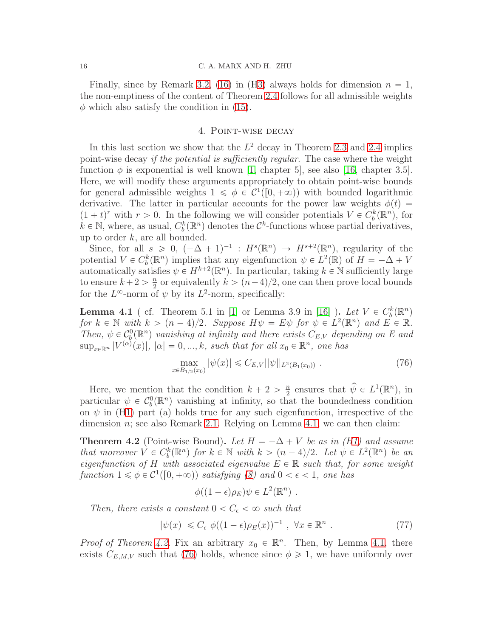Finally, since by Remark [3.2,](#page-8-0) [\(16\)](#page-5-3) in (H3) always holds for dimension  $n = 1$ , the non-emptiness of the content of Theorem [2.4](#page-5-0) follows for all admissible weights  $\phi$  which also satisfy the condition in [\(15\)](#page-5-2).

# 4. Point-wise decay

<span id="page-15-0"></span>In this last section we show that the  $L^2$  decay in Theorem [2.3](#page-4-0) and [2.4](#page-5-0) implies point-wise decay if the potential is sufficiently regular. The case where the weight function  $\phi$  is exponential is well known [\[1,](#page-16-0) chapter 5], see also [\[16,](#page-17-1) chapter 3.5]. Here, we will modify these arguments appropriately to obtain point-wise bounds for general admissible weights  $1 \leq \phi \in C^1([0, +\infty))$  with bounded logarithmic derivative. The latter in particular accounts for the power law weights  $\phi(t)$  =  $(1 + t)^r$  with  $r > 0$ . In the following we will consider potentials  $V \in C_b^k(\mathbb{R}^n)$ , for  $k \in \mathbb{N}$ , where, as usual,  $C_b^k(\mathbb{R}^n)$  denotes the  $\mathcal{C}^k$ -functions whose partial derivatives, up to order  $k$ , are all bounded.

Since, for all  $s \geq 0$ ,  $(-\Delta + 1)^{-1}$ :  $H^s(\mathbb{R}^n) \to H^{s+2}(\mathbb{R}^n)$ , regularity of the potential  $V \in C_b^k(\mathbb{R}^n)$  implies that any eigenfunction  $\psi \in L^2(\mathbb{R})$  of  $H = -\Delta + V$ automatically satisfies  $\psi \in H^{k+2}(\mathbb{R}^n)$ . In particular, taking  $k \in \mathbb{N}$  sufficiently large to ensure  $k+2 > \frac{n}{2}$  $\frac{n}{2}$  or equivalently  $k > (n-4)/2$ , one can then prove local bounds for the  $L^{\infty}$ -norm of  $\psi$  by its  $L^{2}$ -norm, specifically:

<span id="page-15-2"></span>**Lemma 4.1** (cf. Theorem 5.1 in [\[1\]](#page-16-0) or Lemma 3.9 in [\[16\]](#page-17-1)  $\cdot$  Let  $V \in C_b^k(\mathbb{R}^n)$ for  $k \in \mathbb{N}$  with  $k > (n-4)/2$ . Suppose  $H\psi = E\psi$  for  $\psi \in L^2(\mathbb{R}^n)$  and  $E \in \mathbb{R}$ . Then,  $\psi \in C_b^0(\mathbb{R}^n)$  vanishing at infinity and there exists  $C_{E,V}$  depending on E and  $\sup_{x\in\mathbb{R}^n} |V^{(\alpha)}(x)|, |\alpha| = 0, ..., k$ , such that for all  $x_0 \in \mathbb{R}^n$ , one has

<span id="page-15-3"></span>
$$
\max_{x \in B_{1/2}(x_0)} |\psi(x)| \leqslant C_{E,V} ||\psi||_{L^2(B_1(x_0))} . \tag{76}
$$

Here, we mention that the condition  $k + 2 > \frac{n}{2}$  $\frac{n}{2}$  ensures that  $\widehat{\psi} \in L^1(\mathbb{R}^n)$ , in particular  $\psi \in C_b^0(\mathbb{R}^n)$  vanishing at infinity, so that the boundedness condition on  $\psi$  in (H1) part (a) holds true for any such eigenfunction, irrespective of the dimension  $n$ ; see also Remark [2.1.](#page-2-2) Relying on Lemma [4.1,](#page-15-2) we can then claim:

<span id="page-15-1"></span>**Theorem 4.2** (Point-wise Bound). Let  $H = -\Delta + V$  be as in (H1) and assume that moreover  $V \in C_b^k(\mathbb{R}^n)$  for  $k \in \mathbb{N}$  with  $k > (n-4)/2$ . Let  $\psi \in L^2(\mathbb{R}^n)$  be an eigenfunction of H with associated eigenvalue  $E \in \mathbb{R}$  such that, for some weight function  $1 \leq \phi \in C^1([0, +\infty))$  satisfying [\(8\)](#page-3-4) and  $0 < \epsilon < 1$ , one has

$$
\phi((1-\epsilon)\rho_E)\psi \in L^2(\mathbb{R}^n) .
$$

Then, there exists a constant  $0 < C_{\epsilon} < \infty$  such that

<span id="page-15-4"></span>
$$
|\psi(x)| \leq C_{\epsilon} \phi((1 - \epsilon)\rho_E(x))^{-1} , \quad \forall x \in \mathbb{R}^n .
$$
 (77)

*Proof of Theorem [4.2.](#page-15-1)* Fix an arbitrary  $x_0 \in \mathbb{R}^n$ . Then, by Lemma [4.1,](#page-15-2) there exists  $C_{E,M,V}$  such that [\(76\)](#page-15-3) holds, whence since  $\phi \geq 1$ , we have uniformly over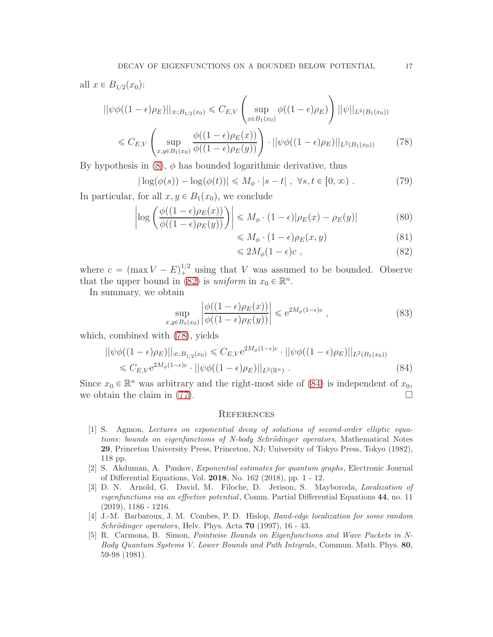$$
||\psi\phi((1-\epsilon)\rho_E)||_{\infty;B_{1/2}(x_0)} \leq C_{E,V} \left(\sup_{x \in B_1(x_0)} \phi((1-\epsilon)\rho_E)\right) ||\psi||_{L^2(B_1(x_0))}
$$
  

$$
\leq C_{E,V} \left(\sup_{x,y \in B_1(x_0)} \frac{\phi((1-\epsilon)\rho_E(x))}{\phi((1-\epsilon)\rho_E(y))}\right) \cdot ||\psi\phi((1-\epsilon)\rho_E)||_{L^2(B_1(x_0))}
$$
(78)

By hypothesis in  $(8)$ ,  $\phi$  has bounded logarithmic derivative, thus

$$
|\log(\phi(s)) - \log(\phi(t))| \le M_{\phi} \cdot |s - t|, \ \forall s, t \in [0, \infty).
$$
 (79)

In particular, for all  $x, y \in B_1(x_0)$ , we conclude

$$
\left| \log \left( \frac{\phi((1-\epsilon)\rho_E(x))}{\phi((1-\epsilon)\rho_E(y))} \right) \right| \le M_\phi \cdot (1-\epsilon) |\rho_E(x) - \rho_E(y)| \tag{80}
$$

<span id="page-16-6"></span><span id="page-16-5"></span>
$$
\leqslant M_{\phi} \cdot (1 - \epsilon) \rho_E(x, y) \tag{81}
$$

$$
\leq 2M_{\phi}(1-\epsilon)c\;, \tag{82}
$$

where  $c = (\max V - E)^{1/2}$  using that V was assumed to be bounded. Observe that the upper bound in [\(82\)](#page-16-5) is *uniform* in  $x_0 \in \mathbb{R}^n$ .

In summary, we obtain

$$
\sup_{x,y\in B_1(x_0)} \left| \frac{\phi((1-\epsilon)\rho_E(x))}{\phi((1-\epsilon)\rho_E(y))} \right| \leq e^{2M_\phi(1-\epsilon)c} ,\qquad (83)
$$

which, combined with [\(78\)](#page-16-6), yields

$$
||\psi\phi((1-\epsilon)\rho_E)||_{\infty; B_{1/2}(x_0)} \leq C_{E,V} e^{2M_{\phi}(1-\epsilon)c} \cdot ||\psi\phi((1-\epsilon)\rho_E)||_{L^2(B_1(x_0))}
$$
  

$$
\leq C_{E,V} e^{2M_{\phi}(1-\epsilon)c} \cdot ||\psi\phi((1-\epsilon)\rho_E)||_{L^2(\mathbb{R}^n)} . \tag{84}
$$

Since  $x_0 \in \mathbb{R}^n$  was arbitrary and the right-most side of [\(84\)](#page-16-7) is independent of  $x_0$ , we obtain the claim in [\(77\)](#page-15-4).  $\Box$ 

### <span id="page-16-7"></span>**REFERENCES**

- <span id="page-16-0"></span>[1] S. Agmon, Lectures on exponential decay of solutions of second-order elliptic equations: bounds on eigenfunctions of N-body Schrödinger operators, Mathematical Notes 29, Princeton University Press, Princeton, NJ; University of Tokyo Press, Tokyo (1982), 118 pp.
- <span id="page-16-1"></span>[2] S. Akduman, A. Pankov, Exponential estimates for quantum graphs, Electronic Journal of Differential Equations, Vol. 2018, No. 162 (2018), pp. 1 - 12.
- <span id="page-16-2"></span>[3] D. N. Arnold, G. David, M. Filoche, D. Jerison, S. Mayboroda, Localization of eigenfunctions via an effective potential, Comm. Partial Differential Equations 44, no. 11 (2019), 1186 - 1216.
- <span id="page-16-4"></span>[4] J.-M. Barbaroux, J. M. Combes, P. D. Hislop, Band-edge localization for some random Schrödinger operators, Helv. Phys. Acta  $70$  (1997), 16 - 43.
- <span id="page-16-3"></span>[5] R. Carmona, B. Simon, Pointwise Bounds on Eigenfunctions and Wave Packets in N-Body Quantum Systems V. Lower Bounds and Path Integrals, Commun. Math. Phys. 80, 59-98 (1981).